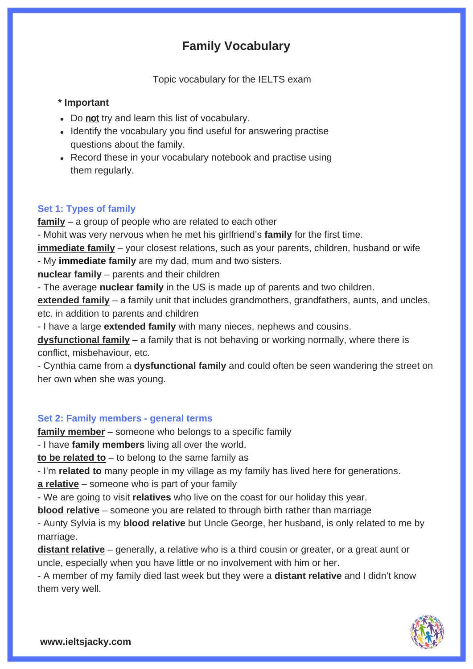# **Family Vocabulary**

Topic vocabulary for the IELTS exam

## **\* Important**

- Do not try and learn this list of vocabulary.
- Identify the vocabulary you find useful for answering practise questions about the family.
- Record these in your vocabulary notebook and practise using them regularly.

## **Set 1: Types of family**

**family** – a group of people who are related to each other

- Mohit was very nervous when he met his girlfriend's **family** for the first time.

**immediate family** – your closest relations, such as your parents, children, husband or wife - My **immediate family** are my dad, mum and two sisters.

**nuclear family** – parents and their children

- The average **nuclear family** in the US is made up of parents and two children.

**extended family** – a family unit that includes grandmothers, grandfathers, aunts, and uncles, etc. in addition to parents and children

- I have a large **extended family** with many nieces, nephews and cousins.

**dysfunctional family** – a family that is not behaving or working normally, where there is conflict, misbehaviour, etc.

- Cynthia came from a **dysfunctional family** and could often be seen wandering the street on her own when she was young.

### **Set 2: Family members - general terms**

**family member** – someone who belongs to a specific family

- I have **family members** living all over the world.

**to be related to** – to belong to the same family as

- I'm **related to** many people in my village as my family has lived here for generations.

**a relative** – someone who is part of your family

- We are going to visit **relatives** who live on the coast for our holiday this year.

**blood relative** – someone you are related to through birth rather than marriage

- Aunty Sylvia is my **blood relative** but Uncle George, her husband, is only related to me by marriage.

**distant relative** – generally, a relative who is a third cousin or greater, or a great aunt or uncle, especially when you have little or no involvement with him or her.

- A member of my family died last week but they were a **distant relative** and I didn't know them very well.

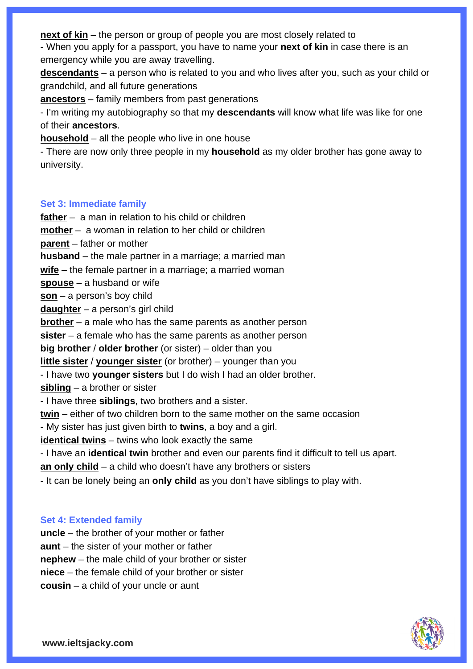**next of kin** – the person or group of people you are most closely related to

- When you apply for a passport, you have to name your **next of kin** in case there is an emergency while you are away travelling.

**descendants** [– a person who is related to you and who lives after you, such as your child or](https://www.ieltsjacky.com/home-vocabulary.html)  grandchild, and all future generations

**ancestors** – family members from past generations

- I'm writing my autobiography so that my **descendants** will know what life was like for one of their **ancestors**.

**household** – all the people who live in one house

- There are now only three people in my **household** as my older brother has gone away to university.

## **Set 3: Immediate family**

**father** – a man in relation to his child or children

**mother** – a woman in relation to her child or children

**parent** – father or mother

**husband** – the male partner in a marriage; a married man

**wife** – the female partner in a marriage; a married woman

**spouse** – a husband or wife

**son** – a person's boy child

**daughter** – a person's girl child

**brother** – a male who has the same parents as another person

**sister** – a female who has the same parents as another person

**big brother** / **older brother** (or sister) – older than you

**little sister** / **younger sister** (or brother) – younger than you

- I have two **younger sisters** but I do wish I had an older brother.

**sibling** – a brother or sister

- I have three **siblings**, two brothers and a sister.

**twin** – either of two children born to the same mother on the same occasion

- My sister has just given birth to **twins**, a boy and a girl.

**identical twins** – twins who look exactly the same

- I have an **identical twin** brother and even our parents find it difficult to tell us apart.

**an only child** – a child who doesn't have any brothers or sisters

- It can be lonely being an **only child** as you don't have siblings to play with.

# **Set 4: Extended family**

**uncle** – the brother of your mother or father **aunt** – the sister of your mother or father **nephew** – the male child of your brother or sister **niece** – the female child of your brother or sister **cousin** – a child of your uncle or aunt

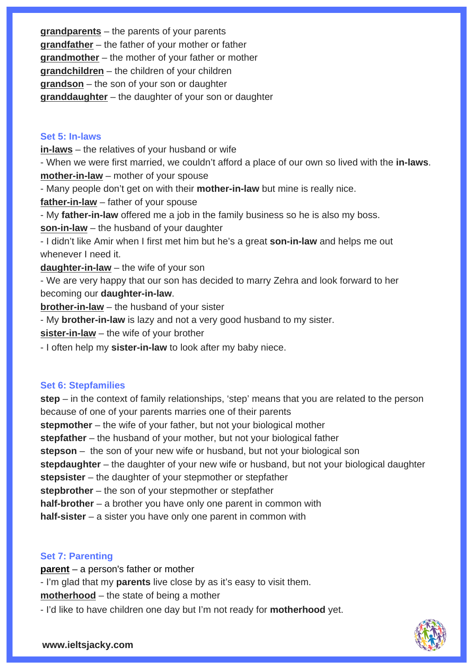**grandparents** – the parents of your parents **grandfather** – the father of your mother or father **grandmother** – the mother of your father or mother **grandchildren** – the children of your children **grandson** – the son of your son or daughter **granddaughter** – the daughter of your son or daughter

### **Set 5: In-laws**

**in-laws** – the relatives of your husband or wife

- When we were first married, we couldn't afford a place of our own so lived with the **in-laws**. **mother-in-law** – mother of your spouse

- Many people don't get on with their **mother-in-law** but mine is really nice.

**father-in-law** – father of your spouse

- My **father-in-law** offered me a job in the family business so he is also my boss.

**son-in-law** – the husband of your daughter

- I didn't like Amir when I first met him but he's a great **son-in-law** and helps me out whenever I need it.

**daughter-in-law** – the wife of your son

- We are very happy that our son has decided to marry Zehra and look forward to her becoming our **daughter-in-law**.

**brother-in-law** – the husband of your sister

- My **brother-in-law** is lazy and not a very good husband to my sister.

**sister-in-law** – the wife of your brother

- I often help my **sister-in-law** to look after my baby niece.

#### **Set 6: Stepfamilies**

**step** [– in the context of family relationships, 'step' means that you are related to the person](https://www.ieltsjacky.com/buildings-vocabulary.html)  because of one of your parents marries one of their parents **stepmother** – the wife of your father, but not your biological mother **stepfather** – the husband of your mother, but not your biological father **stepson** – the son of your new wife or husband, but not your biological son **stepdaughter** – the daughter of your new wife or husband, but not your biological daughter **stepsister** – the daughter of your stepmother or stepfather **stepbrother** – the son of your stepmother or stepfather **half-brother** – a brother you have only one parent in common with **half-sister** – a sister you have only one parent in common with

### **Set 7: Parenting**

**parent** – a person's father or mother - I'm glad that my **parents** live close by as it's easy to visit them. **motherhood** – the state of being a mother

- I'd like to have children one day but I'm not ready for **motherhood** yet.

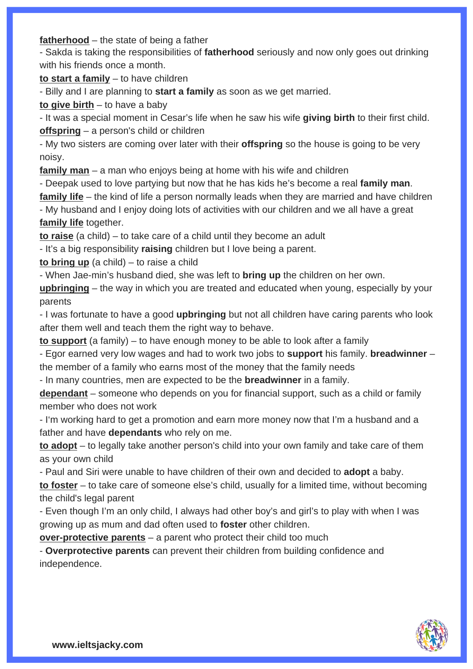**fatherhood** – the state of being a father

- Sakda is taking the responsibilities of **fatherhood** seriously and now only goes out drinking with his friends once a month.

**to start a family** – to have children

- Billy and I are planning to **start a family** as soon as we get married.

**to give birth** – to have a baby

- It was a special moment in Cesar's life when he saw his wife **giving birth** to their first child. **offspring** – a person's child or children

- My two sisters are coming over later with their **offspring** so the house is going to be very noisy.

**family man** – a man who enjoys being at home with his wife and children

- Deepak used to love partying but now that he has kids he's become a real **family man**.

**family life** – the kind of life a person normally leads when they are married and have children

- My husband and I enjoy doing lots of activities with our children and we all have a great **family life** together.

**to raise** (a child) – to take care of a child until they become an adult

- It's a big responsibility **raising** children but I love being a parent.

**to bring up** (a child) – to raise a child

- When Jae-min's husband died, she was left to **bring up** the children on her own.

**upbringing** – the way in which you are treated and educated when young, especially by your parents

- I was fortunate to have a good **upbringing** but not all children have caring parents who look after them well and teach them the right way to behave.

**to support** (a family) – to have enough money to be able to look after a family

- Egor earned very low wages and had to work two jobs to **support** his family. **breadwinner** – the member of a family who earns most of the money that the family needs

- In many countries, men are expected to be the **breadwinner** in a family.

**dependant** – someone who depends on you for financial support, such as a child or family member who does not work

- I'm working hard to get a promotion and earn more money now that I'm a husband and a father and have **dependants** who rely on me.

**to adopt** – to legally take another person's child into your own family and take care of them as your own child

- Paul and Siri were unable to have children of their own and decided to **adopt** a baby. **to foster** – to take care of someone else's child, usually for a limited time, without becoming the child's legal parent

- Even though I'm an only child, I always had other boy's and girl's to play with when I was growing up as mum and dad often used to **foster** other children.

**over-protective parents** – a parent who protect their child too much

- **Overprotective parents** can prevent their children from building confidence and independence.

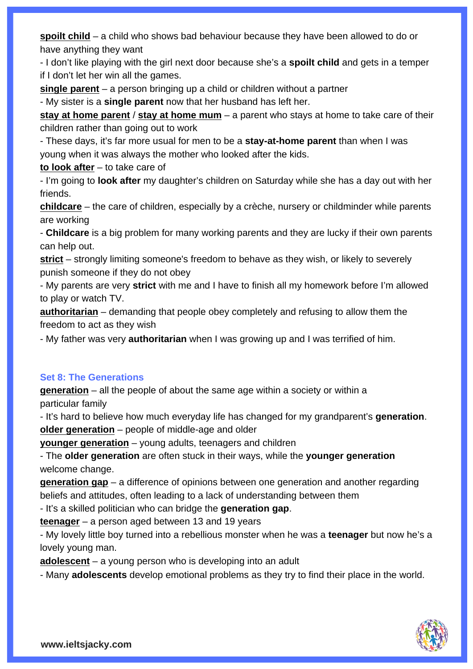**spoilt child** – a child who shows bad behaviour because they have been allowed to do or have anything they want

- I don't like playing with the girl next door because she's a **spoilt child** and gets in a temper if I don't let her win all the games.

**single parent** – a person bringing up a child or children without a partner

- My sister is a **single parent** now that her husband has left her.

**stay at home parent** / **stay at home mum** – a parent who stays at home to take care of their children rather than going out to work

- These days, it's far more usual for men to be a **stay-at-home parent** than when I was young when it was always the mother who looked after the kids.

**to look after** – to take care of

- I'm going to **look after** my daughter's children on Saturday while she has a day out with her friends.

**childcare** [– the care of children, especially by a crèche, nursery or childminder while parents](https://www.ieltsjacky.com/home-vocabulary.html)  are working

- **Childcare** is a big problem for many working parents and they are lucky if their own parents can help out.

**strict** – strongly limiting someone's freedom to behave as they wish, or likely to severely punish someone if they do not obey

- My parents are very **strict** with me and I have to finish all my homework before I'm allowed to play or watch TV.

**authoritarian** – demanding that people obey completely and refusing to allow them the freedom to act as they wish

- My father was very **authoritarian** when I was growing up and I was terrified of him.

# **Set 8: The Generations**

**generation** – all the people of about the same age within a society or within a particular family

- It's hard to believe how much everyday life has changed for my grandparent's **generation**. **older generation** – people of middle-age and older

**younger generation** – young adults, teenagers and children

- The **older generation** are often stuck in their ways, while the **younger generation**  welcome change.

**generation gap** – a difference of opinions between one generation and another regarding beliefs and attitudes, often leading to a lack of understanding between them

- It's a skilled politician who can bridge the **generation gap**.

**teenager** – a person aged between 13 and 19 years

- My lovely little boy turned into a rebellious monster when he was a **teenager** but now he's a lovely young man.

**adolescent** – a young person who is developing into an adult

- Many **adolescents** develop emotional problems as they try to find their place in the world.

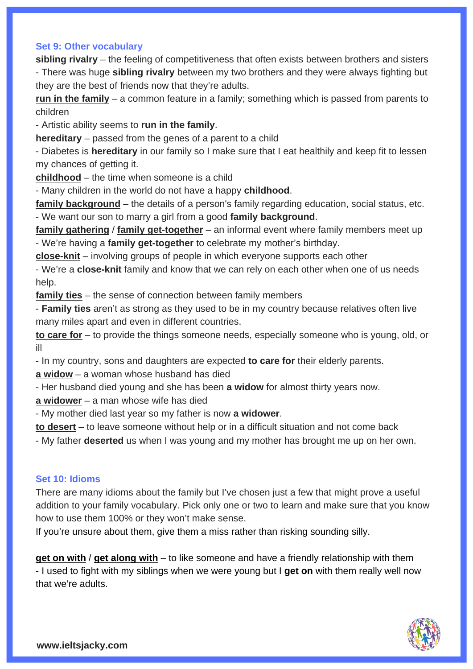### **Set 9: Other vocabulary**

**sibling rivalry** – the feeling of competitiveness that often exists between brothers and sisters - There was huge **sibling rivalry** between my two brothers and they were always fighting but they are the best of friends now that they're adults.

**run in the family** – a common feature in a family; something which is passed from parents to children

- Artistic ability seems to **run in the family**.

**hereditary** – passed from the genes of a parent to a child

- Diabetes is **hereditary** in our family so I make sure that I eat healthily and keep fit to lessen my chances of getting it.

**childhood** – the time when someone is a child

- Many children in the world do not have a happy **childhood**.

**family background** – the details of a person's family regarding education, social status, etc. - We want our son to marry a girl from a good **family background**.

**family gathering** / **family get-together** – an informal event where family members meet up - We're having a **family get-together** to celebrate my mother's birthday.

**close-knit** – involving groups of people in which everyone supports each other

- We're a **close-knit** family and know that we can rely on each other when one of us needs help.

**family ties** – the sense of connection between family members

- **Family ties** aren't as strong as they used to be in my country because relatives often live many miles apart and even in different countries.

**to care for** – to provide the things someone needs, especially someone who is young, old, or ill

- In my country, sons and daughters are expected **to care for** their elderly parents.

**a widow** – a woman whose husband has died

- Her husband died young and she has been **a widow** for almost thirty years now.

**a widower** – a man whose wife has died

- My mother died last year so my father is now **a widower**.

**to desert** – to leave someone without help or in a difficult situation and not come back

- My father **deserted** us when I was young and my mother has brought me up on her own.

#### **Set 10: Idioms**

There are many idioms about the family but I've chosen just a few that might prove a useful addition to your family vocabulary. Pick only one or two to learn and make sure that you know how to use them 100% or they won't make sense.

If you're unsure about them, give them a miss rather than risking sounding silly.

**get on with** / **get along with** – to like someone and have a friendly relationship with them - I used to fight with my siblings when we were young but I **get on** with them really well now that we're adults.